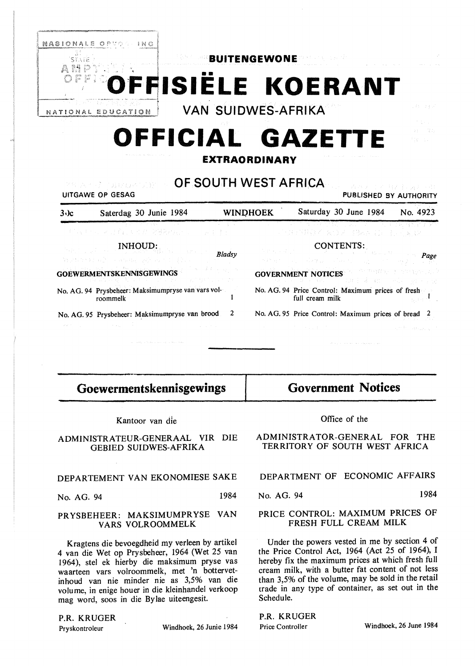

*Bladsy* 

 $\mathbf{I}$ 

# **Goewermentskennisgewings**

INHOUD:

No. AG. 94 Prysbeheer: Maksimumpryse van vars vol-

No. AG. 95 Prysbeheer: Maksimumpryse van brood 2

**GOEWERMENTSKENNISGEWINGS** 

roommelk

Kantoor van die

ADMINISTRATEUR-GENERAAL VIR DIE GEBIED SUIDWES-AFRIKA

#### DEPARTEMENT VAN EKONOMIESE SAKE

No. AG. 94 1984

#### **PRYSBEHEER: MAKSIMUMPRYSE VAN VARS VOLROOMMELK**

Kragtens die bevoegdheid my verleen by artikel 4 van die Wet op Prysbeheer, 1964 (Wet 25 van 1964), stel ek hierby die maksimum pryse vas waarteen vars volroommelk, met 'n bottervetinhoud van nie minder nie as 3,5% van die volume, in enige houer in die kleinhandel verkoop mag word, soos in die Bylae uiteengesit.

### P.R. KRUGER

Pryskontroleur Windhoek, 26 Junie 1984

## **Government Notices**

CONTENTS:

*Page* 

 $\mathcal{H}_{\mathrm{D}}^{\mathrm{L}} = \{ \mathcal{H}_{\mathrm{D}}^{\mathrm{L}} \}$ 

No. AG. 94 Price Control: Maximum prices of fresh

No. AG. 95 Price Control: Maximum prices of bread 2

**GOVERNMENT NOTICES** 

full cream milk

#### Office of the

ADMINISTRATOR-GENERAL FOR THE TERRITORY OF SOUTH WEST AFRICA

|  |  |  |  |  | DEPARTMENT OF ECONOMIC AFFAIRS |  |
|--|--|--|--|--|--------------------------------|--|
|--|--|--|--|--|--------------------------------|--|

#### No. AG. 94 1984

#### PRICE CONTROL: MAXIMUM PRICES OF FRESH FULL CREAM MILK

Under the powers vested in me by section 4 of the Price Control Act, 1964 (Act 25 of 1964), I hereby fix the maximum prices at which fresh full cream milk, with a butter fat content of not less than 3,5% of the volume, may be sold in the retail trade in any type of container, as set out in the Schedule.

**P.R.** KRUGER